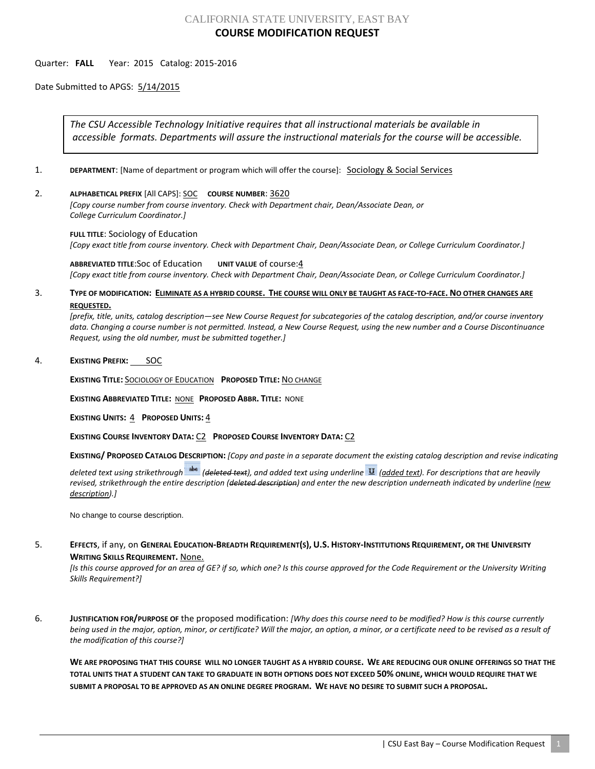# CALIFORNIA STATE UNIVERSITY, EAST BAY **COURSE MODIFICATION REQUEST**

### Quarter: **FALL** Year: 2015 Catalog: 2015-2016

Date Submitted to APGS: 5/14/2015

*The CSU Accessible Technology Initiative requires that all instructional materials be available in accessible formats. Departments will assure the instructional materials for the course will be accessible.*

- 1. **DEPARTMENT:** [Name of department or program which will offer the course]: **Sociology & Social Services**
- 2. **ALPHABETICAL PREFIX** [All CAPS]: SOC **COURSE NUMBER**: 3620

*[Copy course number from course inventory. Check with Department chair, Dean/Associate Dean, or College Curriculum Coordinator.]* 

**FULL TITLE**: Sociology of Education *[Copy exact title from course inventory. Check with Department Chair, Dean/Associate Dean, or College Curriculum Coordinator.]*

**ABBREVIATED TITLE**:Soc of Education **UNIT VALUE** of course:4 *[Copy exact title from course inventory. Check with Department Chair, Dean/Associate Dean, or College Curriculum Coordinator.]*

## 3. **TYPE OF MODIFICATION: ELIMINATE AS A HYBRID COURSE. THE COURSE WILL ONLY BE TAUGHT AS FACE-TO-FACE. NO OTHER CHANGES ARE REQUESTED.**

*[prefix, title, units, catalog description—see New Course Request for subcategories of the catalog description, and/or course inventory data. Changing a course number is not permitted. Instead, a New Course Request, using the new number and a Course Discontinuance Request, using the old number, must be submitted together.]*

### 4. **EXISTING PREFIX:** SOC

**EXISTING TITLE:** SOCIOLOGY OF EDUCATION **PROPOSED TITLE:** NO CHANGE

**EXISTING ABBREVIATED TITLE:** NONE **PROPOSED ABBR. TITLE:** NONE

**EXISTING UNITS:** 4 **PROPOSED UNITS:** 4

**EXISTING COURSE INVENTORY DATA:** C2 **PROPOSED COURSE INVENTORY DATA:** C2

**EXISTING/ PROPOSED CATALOG DESCRIPTION:** *[Copy and paste in a separate document the existing catalog description and revise indicating* 

*deleted text using strikethrough (deleted text), and added text using underline (added text). For descriptions that are heavily revised, strikethrough the entire description (deleted description) and enter the new description underneath indicated by underline (new description).]*

No change to course description.

## 5. **EFFECTS**, if any, on **GENERAL EDUCATION-BREADTH REQUIREMENT(S), U.S. HISTORY-INSTITUTIONS REQUIREMENT, OR THE UNIVERSITY WRITING SKILLS REQUIREMENT.** None.

*[Is this course approved for an area of GE? if so, which one? Is this course approved for the Code Requirement or the University Writing Skills Requirement?]*

6. **JUSTIFICATION FOR/PURPOSE OF** the proposed modification: *[Why does this course need to be modified? How is this course currently being used in the major, option, minor, or certificate? Will the major, an option, a minor, or a certificate need to be revised as a result of the modification of this course?]*

**WE ARE PROPOSING THAT THIS COURSE WILL NO LONGER TAUGHT AS A HYBRID COURSE. WE ARE REDUCING OUR ONLINE OFFERINGS SO THAT THE TOTAL UNITS THAT A STUDENT CAN TAKE TO GRADUATE IN BOTH OPTIONS DOES NOT EXCEED 50% ONLINE, WHICH WOULD REQUIRE THAT WE SUBMIT A PROPOSAL TO BE APPROVED AS AN ONLINE DEGREE PROGRAM. WE HAVE NO DESIRE TO SUBMIT SUCH A PROPOSAL.**